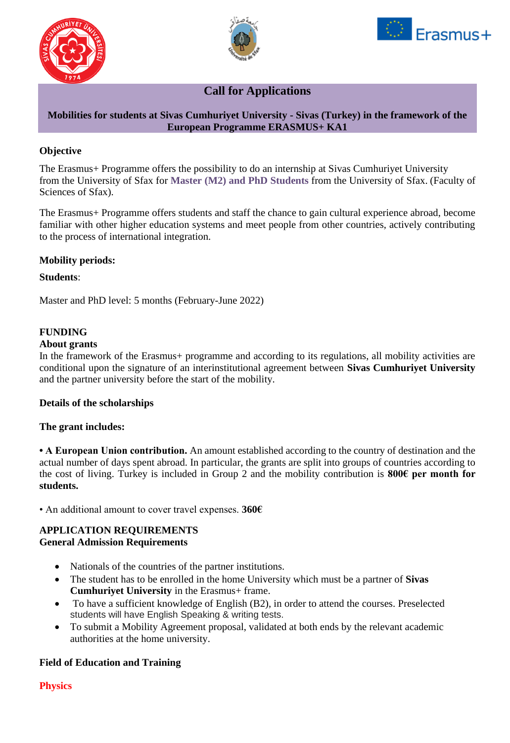





# **Call for Applications**

## **Mobilities for students at Sivas Cumhuriyet University - Sivas (Turkey) in the framework of the European Programme ERASMUS+ KA1**

## **Objective**

The Erasmus+ Programme offers the possibility to do an internship at Sivas Cumhuriyet University from the University of Sfax for **Master (M2) and PhD Students** from the University of Sfax. (Faculty of Sciences of Sfax).

The Erasmus+ Programme offers students and staff the chance to gain cultural experience abroad, become familiar with other higher education systems and meet people from other countries, actively contributing to the process of international integration.

## **Mobility periods:**

#### **Students**:

Master and PhD level: 5 months (February-June 2022)

#### **FUNDING**

#### **About grants**

In the framework of the Erasmus+ programme and according to its regulations, all mobility activities are conditional upon the signature of an interinstitutional agreement between **Sivas Cumhuriyet University**  and the partner university before the start of the mobility.

#### **Details of the scholarships**

#### **The grant includes:**

**• A European Union contribution.** An amount established according to the country of destination and the actual number of days spent abroad. In particular, the grants are split into groups of countries according to the cost of living. Turkey is included in Group 2 and the mobility contribution is **800€ per month for students.**

• An additional amount to cover travel expenses. **360€**

#### **APPLICATION REQUIREMENTS General Admission Requirements**

- Nationals of the countries of the partner institutions.
- The student has to be enrolled in the home University which must be a partner of **Sivas Cumhuriyet University** in the Erasmus+ frame.
- To have a sufficient knowledge of English (B2), in order to attend the courses. Preselected students will have English Speaking & writing tests.
- To submit a Mobility Agreement proposal, validated at both ends by the relevant academic authorities at the home university.

#### **Field of Education and Training**

**Physics**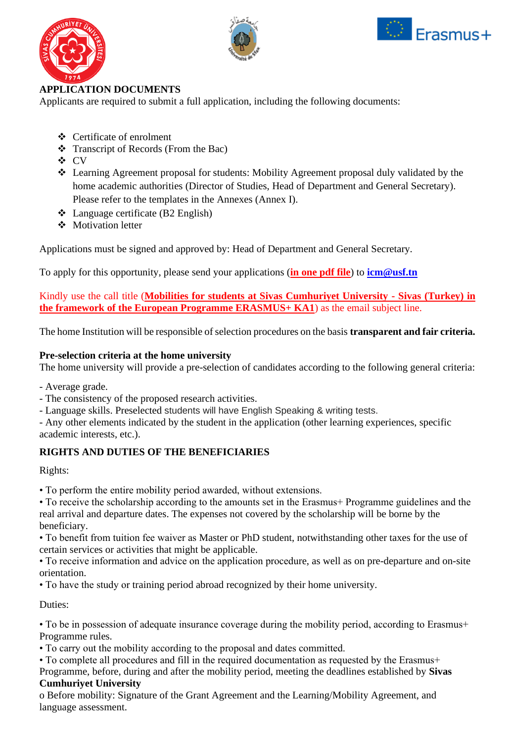





## **APPLICATION DOCUMENTS**

Applicants are required to submit a full application, including the following documents:

- ❖ Certificate of enrolment
- ❖ Transcript of Records (From the Bac)
- ❖ CV
- ❖ Learning Agreement proposal for students: Mobility Agreement proposal duly validated by the home academic authorities (Director of Studies, Head of Department and General Secretary). Please refer to the templates in the Annexes (Annex I).
- ❖ Language certificate (B2 English)
- ❖ Motivation letter

Applications must be signed and approved by: Head of Department and General Secretary.

To apply for this opportunity, please send your applications (**in one pdf file**) to **[icm@usf.tn](mailto:icm@usf.tn)**

Kindly use the call title (**Mobilities for students at Sivas Cumhuriyet University - Sivas (Turkey) in the framework of the European Programme ERASMUS+ KA1**) as the email subject line.

The home Institution will be responsible of selection procedures on the basis **transparent and fair criteria.**

## **Pre-selection criteria at the home university**

The home university will provide a pre-selection of candidates according to the following general criteria:

- Average grade.

- The consistency of the proposed research activities.
- Language skills. Preselected students will have English Speaking & writing tests.

- Any other elements indicated by the student in the application (other learning experiences, specific academic interests, etc.).

## **RIGHTS AND DUTIES OF THE BENEFICIARIES**

Rights:

• To perform the entire mobility period awarded, without extensions.

• To receive the scholarship according to the amounts set in the Erasmus+ Programme guidelines and the real arrival and departure dates. The expenses not covered by the scholarship will be borne by the beneficiary.

• To benefit from tuition fee waiver as Master or PhD student, notwithstanding other taxes for the use of certain services or activities that might be applicable.

• To receive information and advice on the application procedure, as well as on pre-departure and on-site orientation.

• To have the study or training period abroad recognized by their home university.

Duties:

• To be in possession of adequate insurance coverage during the mobility period, according to Erasmus+ Programme rules.

• To carry out the mobility according to the proposal and dates committed.

• To complete all procedures and fill in the required documentation as requested by the Erasmus+ Programme, before, during and after the mobility period, meeting the deadlines established by **Sivas Cumhuriyet University** 

o Before mobility: Signature of the Grant Agreement and the Learning/Mobility Agreement, and language assessment.